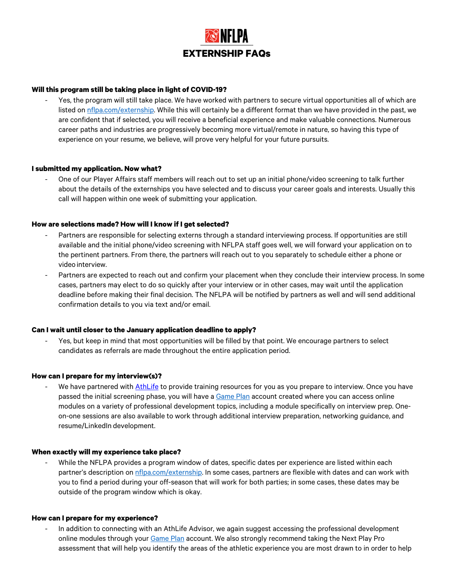# **EXTERNSHIP FAQs**

## **Will this program still be taking place in light of COVID-19?**

Yes, the program will still take place. We have worked with partners to secure virtual opportunities all of which are listed on nflpa.com/externship. While this will certainly be a different format than we have provided in the past, we are confident that if selected, you will receive a beneficial experience and make valuable connections. Numerous career paths and industries are progressively becoming more virtual/remote in nature, so having this type of experience on your resume, we believe, will prove very helpful for your future pursuits.

#### **I submitted my application. Now what?**

- One of our Player Affairs staff members will reach out to set up an initial phone/video screening to talk further about the details of the externships you have selected and to discuss your career goals and interests. Usually this call will happen within one week of submitting your application.

### **How are selections made? How will I know if I get selected?**

- Partners are responsible for selecting externs through a standard interviewing process. If opportunities are still available and the initial phone/video screening with NFLPA staff goes well, we will forward your application on to the pertinent partners. From there, the partners will reach out to you separately to schedule either a phone or video interview.
- Partners are expected to reach out and confirm your placement when they conclude their interview process. In some cases, partners may elect to do so quickly after your interview or in other cases, may wait until the application deadline before making their final decision. The NFLPA will be notified by partners as well and will send additional confirmation details to you via text and/or email.

### **Can I wait until closer to the January application deadline to apply?**

Yes, but keep in mind that most opportunities will be filled by that point. We encourage partners to select candidates as referrals are made throughout the entire application period.

#### **How can I prepare for my interview(s)?**

We have partnered with AthLife to provide training resources for you as you prepare to interview. Once you have passed the initial screening phase, you will have a Game Plan account created where you can access online modules on a variety of professional development topics, including a module specifically on interview prep. Oneon-one sessions are also available to work through additional interview preparation, networking guidance, and resume/LinkedIn development.

#### **When exactly will my experience take place?**

While the NFLPA provides a program window of dates, specific dates per experience are listed within each partner's description on **nflpa.com/externship.** In some cases, partners are flexible with dates and can work with you to find a period during your off-season that will work for both parties; in some cases, these dates may be outside of the program window which is okay.

#### **How can I prepare for my experience?**

- In addition to connecting with an AthLife Advisor, we again suggest accessing the professional development online modules through your Game Plan account. We also strongly recommend taking the Next Play Pro assessment that will help you identify the areas of the athletic experience you are most drawn to in order to help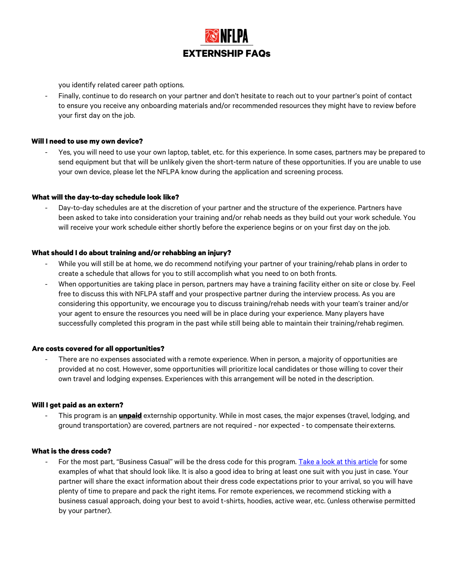**EXTERNSHIP FAQs**

you identify related career path options.

- Finally, continue to do research on your partner and don't hesitate to reach out to your partner's point of contact to ensure you receive any onboarding materials and/or recommended resources they might have to review before your first day on the job.

## **Will I need to use my own device?**

Yes, you will need to use your own laptop, tablet, etc. for this experience. In some cases, partners may be prepared to send equipment but that will be unlikely given the short-term nature of these opportunities. If you are unable to use your own device, please let the NFLPA know during the application and screening process.

### **What will the day-to-day schedule look like?**

Day-to-day schedules are at the discretion of your partner and the structure of the experience. Partners have been asked to take into consideration your training and/or rehab needs as they build out your work schedule. You will receive your work schedule either shortly before the experience begins or on your first day on the job.

### **What should I do about training and/or rehabbing an injury?**

- While you will still be at home, we do recommend notifying your partner of your training/rehab plans in order to create a schedule that allows for you to still accomplish what you need to on both fronts.
- When opportunities are taking place in person, partners may have a training facility either on site or close by. Feel free to discuss this with NFLPA staff and your prospective partner during the interview process. As you are considering this opportunity, we encourage you to discuss training/rehab needs with your team's trainer and/or your agent to ensure the resources you need will be in place during your experience. Many players have successfully completed this program in the past while still being able to maintain their training/rehab regimen.

## **Are costs covered for all opportunities?**

There are no expenses associated with a remote experience. When in person, a majority of opportunities are provided at no cost. However, some opportunities will prioritize local candidates or those willing to cover their own travel and lodging expenses. Experiences with this arrangement will be noted in the description.

#### **Will I get paid as an extern?**

This program is an **unpaid** externship opportunity. While in most cases, the major expenses (travel, lodging, and ground transportation) are covered, partners are not required - nor expected - to compensate theirexterns.

#### **What is the dress code?**

For the most part, "Business Casual" will be the dress code for this program. Take a look at this article for some examples of what that should look like. It is also a good idea to bring at least one suit with you just in case. Your partner will share the exact information about their dress code expectations prior to your arrival, so you will have plenty of time to prepare and pack the right items. For remote experiences, we recommend sticking with a business casual approach, doing your best to avoid t-shirts, hoodies, active wear, etc. (unless otherwise permitted by your partner).